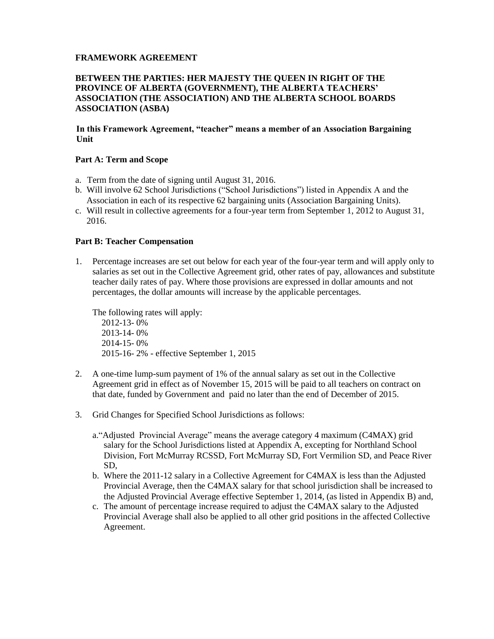#### **FRAMEWORK AGREEMENT**

#### **BETWEEN THE PARTIES: HER MAJESTY THE QUEEN IN RIGHT OF THE PROVINCE OF ALBERTA (GOVERNMENT), THE ALBERTA TEACHERS' ASSOCIATION (THE ASSOCIATION) AND THE ALBERTA SCHOOL BOARDS ASSOCIATION (ASBA)**

#### **In this Framework Agreement, "teacher" means a member of an Association Bargaining Unit**

#### **Part A: Term and Scope**

- a. Term from the date of signing until August 31, 2016.
- b. Will involve 62 School Jurisdictions ("School Jurisdictions") listed in Appendix A and the Association in each of its respective 62 bargaining units (Association Bargaining Units).
- c. Will result in collective agreements for a four-year term from September 1, 2012 to August 31, 2016.

#### **Part B: Teacher Compensation**

1. Percentage increases are set out below for each year of the four-year term and will apply only to salaries as set out in the Collective Agreement grid, other rates of pay, allowances and substitute teacher daily rates of pay. Where those provisions are expressed in dollar amounts and not percentages, the dollar amounts will increase by the applicable percentages.

The following rates will apply:

2012-13- 0% 2013-14- 0% 2014-15- 0% 2015-16- 2% - effective September 1, 2015

- 2. A one-time lump-sum payment of 1% of the annual salary as set out in the Collective Agreement grid in effect as of November 15, 2015 will be paid to all teachers on contract on that date, funded by Government and paid no later than the end of December of 2015.
- 3. Grid Changes for Specified School Jurisdictions as follows:
	- a."Adjusted Provincial Average" means the average category 4 maximum (C4MAX) grid salary for the School Jurisdictions listed at Appendix A, excepting for Northland School Division, Fort McMurray RCSSD, Fort McMurray SD, Fort Vermilion SD, and Peace River SD,
	- b. Where the 2011-12 salary in a Collective Agreement for C4MAX is less than the Adjusted Provincial Average, then the C4MAX salary for that school jurisdiction shall be increased to the Adjusted Provincial Average effective September 1, 2014, (as listed in Appendix B) and,
	- c. The amount of percentage increase required to adjust the C4MAX salary to the Adjusted Provincial Average shall also be applied to all other grid positions in the affected Collective Agreement.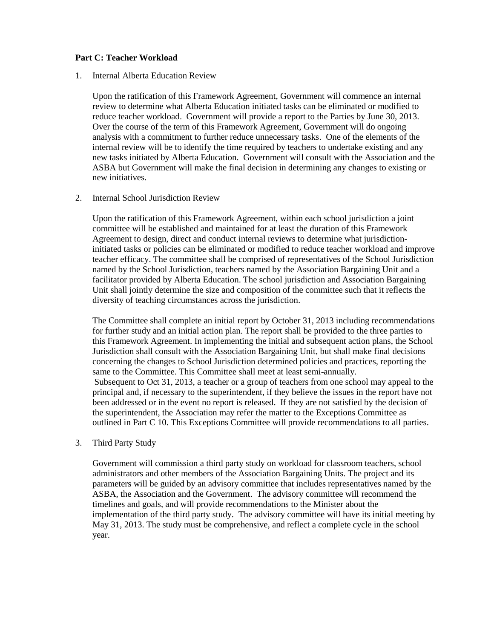#### **Part C: Teacher Workload**

#### 1. Internal Alberta Education Review

Upon the ratification of this Framework Agreement, Government will commence an internal review to determine what Alberta Education initiated tasks can be eliminated or modified to reduce teacher workload. Government will provide a report to the Parties by June 30, 2013. Over the course of the term of this Framework Agreement, Government will do ongoing analysis with a commitment to further reduce unnecessary tasks. One of the elements of the internal review will be to identify the time required by teachers to undertake existing and any new tasks initiated by Alberta Education. Government will consult with the Association and the ASBA but Government will make the final decision in determining any changes to existing or new initiatives.

#### 2. Internal School Jurisdiction Review

Upon the ratification of this Framework Agreement, within each school jurisdiction a joint committee will be established and maintained for at least the duration of this Framework Agreement to design, direct and conduct internal reviews to determine what jurisdictioninitiated tasks or policies can be eliminated or modified to reduce teacher workload and improve teacher efficacy. The committee shall be comprised of representatives of the School Jurisdiction named by the School Jurisdiction, teachers named by the Association Bargaining Unit and a facilitator provided by Alberta Education. The school jurisdiction and Association Bargaining Unit shall jointly determine the size and composition of the committee such that it reflects the diversity of teaching circumstances across the jurisdiction.

The Committee shall complete an initial report by October 31, 2013 including recommendations for further study and an initial action plan. The report shall be provided to the three parties to this Framework Agreement. In implementing the initial and subsequent action plans, the School Jurisdiction shall consult with the Association Bargaining Unit, but shall make final decisions concerning the changes to School Jurisdiction determined policies and practices, reporting the same to the Committee. This Committee shall meet at least semi-annually. Subsequent to Oct 31, 2013, a teacher or a group of teachers from one school may appeal to the principal and, if necessary to the superintendent, if they believe the issues in the report have not been addressed or in the event no report is released. If they are not satisfied by the decision of the superintendent, the Association may refer the matter to the Exceptions Committee as outlined in Part C 10. This Exceptions Committee will provide recommendations to all parties.

#### 3. Third Party Study

Government will commission a third party study on workload for classroom teachers, school administrators and other members of the Association Bargaining Units. The project and its parameters will be guided by an advisory committee that includes representatives named by the ASBA, the Association and the Government. The advisory committee will recommend the timelines and goals, and will provide recommendations to the Minister about the implementation of the third party study. The advisory committee will have its initial meeting by May 31, 2013. The study must be comprehensive, and reflect a complete cycle in the school year.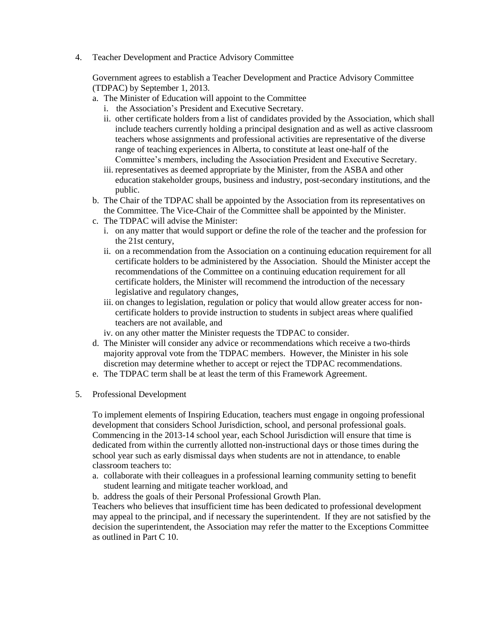4. Teacher Development and Practice Advisory Committee

Government agrees to establish a Teacher Development and Practice Advisory Committee (TDPAC) by September 1, 2013.

- a. The Minister of Education will appoint to the Committee
	- i. the Association's President and Executive Secretary.
	- ii. other certificate holders from a list of candidates provided by the Association, which shall include teachers currently holding a principal designation and as well as active classroom teachers whose assignments and professional activities are representative of the diverse range of teaching experiences in Alberta, to constitute at least one-half of the Committee's members, including the Association President and Executive Secretary.
	- iii. representatives as deemed appropriate by the Minister, from the ASBA and other education stakeholder groups, business and industry, post-secondary institutions, and the public.
- b. The Chair of the TDPAC shall be appointed by the Association from its representatives on the Committee. The Vice-Chair of the Committee shall be appointed by the Minister.
- c. The TDPAC will advise the Minister:
	- i. on any matter that would support or define the role of the teacher and the profession for the 21st century,
	- ii. on a recommendation from the Association on a continuing education requirement for all certificate holders to be administered by the Association. Should the Minister accept the recommendations of the Committee on a continuing education requirement for all certificate holders, the Minister will recommend the introduction of the necessary legislative and regulatory changes,
	- iii. on changes to legislation, regulation or policy that would allow greater access for noncertificate holders to provide instruction to students in subject areas where qualified teachers are not available, and
	- iv. on any other matter the Minister requests the TDPAC to consider.
- d. The Minister will consider any advice or recommendations which receive a two-thirds majority approval vote from the TDPAC members. However, the Minister in his sole discretion may determine whether to accept or reject the TDPAC recommendations.
- e. The TDPAC term shall be at least the term of this Framework Agreement.
- 5. Professional Development

To implement elements of Inspiring Education, teachers must engage in ongoing professional development that considers School Jurisdiction, school, and personal professional goals. Commencing in the 2013-14 school year, each School Jurisdiction will ensure that time is dedicated from within the currently allotted non-instructional days or those times during the school year such as early dismissal days when students are not in attendance, to enable classroom teachers to:

- a. collaborate with their colleagues in a professional learning community setting to benefit student learning and mitigate teacher workload, and
- b. address the goals of their Personal Professional Growth Plan.

Teachers who believes that insufficient time has been dedicated to professional development may appeal to the principal, and if necessary the superintendent. If they are not satisfied by the decision the superintendent, the Association may refer the matter to the Exceptions Committee as outlined in Part C 10.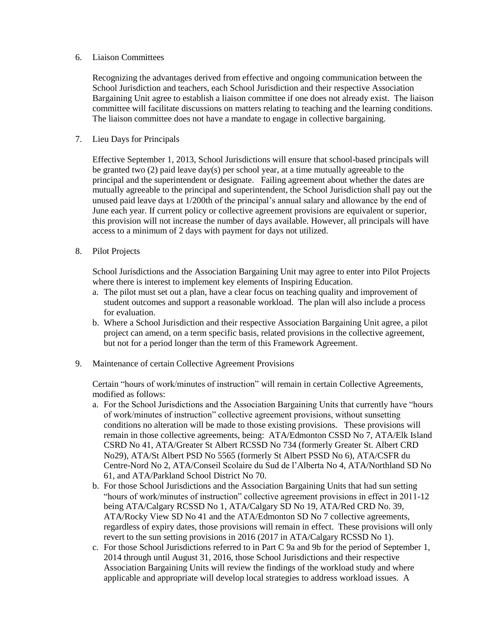#### 6. Liaison Committees

Recognizing the advantages derived from effective and ongoing communication between the School Jurisdiction and teachers, each School Jurisdiction and their respective Association Bargaining Unit agree to establish a liaison committee if one does not already exist. The liaison committee will facilitate discussions on matters relating to teaching and the learning conditions. The liaison committee does not have a mandate to engage in collective bargaining.

#### 7. Lieu Days for Principals

Effective September 1, 2013, School Jurisdictions will ensure that school-based principals will be granted two (2) paid leave day(s) per school year, at a time mutually agreeable to the principal and the superintendent or designate. Failing agreement about whether the dates are mutually agreeable to the principal and superintendent, the School Jurisdiction shall pay out the unused paid leave days at 1/200th of the principal's annual salary and allowance by the end of June each year. If current policy or collective agreement provisions are equivalent or superior, this provision will not increase the number of days available. However, all principals will have access to a minimum of 2 days with payment for days not utilized.

8. Pilot Projects

School Jurisdictions and the Association Bargaining Unit may agree to enter into Pilot Projects where there is interest to implement key elements of Inspiring Education.

- a. The pilot must set out a plan, have a clear focus on teaching quality and improvement of student outcomes and support a reasonable workload. The plan will also include a process for evaluation.
- b. Where a School Jurisdiction and their respective Association Bargaining Unit agree, a pilot project can amend, on a term specific basis, related provisions in the collective agreement, but not for a period longer than the term of this Framework Agreement.
- 9. Maintenance of certain Collective Agreement Provisions

Certain "hours of work/minutes of instruction" will remain in certain Collective Agreements, modified as follows:

- a. For the School Jurisdictions and the Association Bargaining Units that currently have "hours of work/minutes of instruction" collective agreement provisions, without sunsetting conditions no alteration will be made to those existing provisions. These provisions will remain in those collective agreements, being: ATA/Edmonton CSSD No 7, ATA/Elk Island CSRD No 41, ATA/Greater St Albert RCSSD No 734 (formerly Greater St. Albert CRD No29), ATA/St Albert PSD No 5565 (formerly St Albert PSSD No 6), ATA/CSFR du Centre-Nord No 2, ATA/Conseil Scolaire du Sud de l'Alberta No 4, ATA/Northland SD No 61, and ATA/Parkland School District No 70.
- b. For those School Jurisdictions and the Association Bargaining Units that had sun setting "hours of work/minutes of instruction" collective agreement provisions in effect in 2011-12 being ATA/Calgary RCSSD No 1, ATA/Calgary SD No 19, ATA/Red CRD No. 39, ATA/Rocky View SD No 41 and the ATA/Edmonton SD No 7 collective agreements, regardless of expiry dates, those provisions will remain in effect. These provisions will only revert to the sun setting provisions in 2016 (2017 in ATA/Calgary RCSSD No 1).
- c. For those School Jurisdictions referred to in Part C 9a and 9b for the period of September 1, 2014 through until August 31, 2016, those School Jurisdictions and their respective Association Bargaining Units will review the findings of the workload study and where applicable and appropriate will develop local strategies to address workload issues. A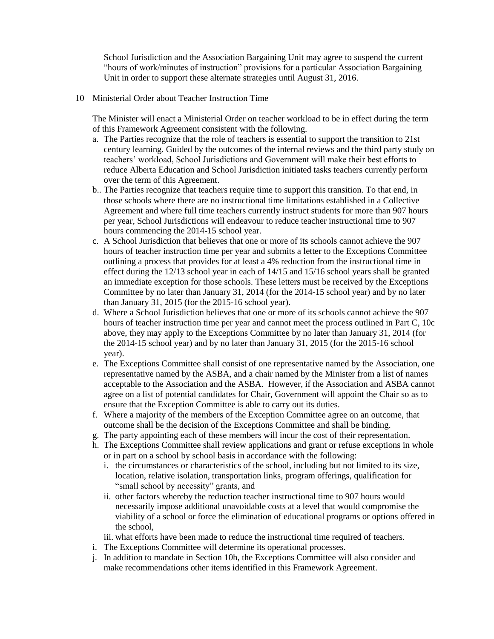School Jurisdiction and the Association Bargaining Unit may agree to suspend the current "hours of work/minutes of instruction" provisions for a particular Association Bargaining Unit in order to support these alternate strategies until August 31, 2016.

10 Ministerial Order about Teacher Instruction Time

The Minister will enact a Ministerial Order on teacher workload to be in effect during the term of this Framework Agreement consistent with the following.

- a. The Parties recognize that the role of teachers is essential to support the transition to 21st century learning. Guided by the outcomes of the internal reviews and the third party study on teachers' workload, School Jurisdictions and Government will make their best efforts to reduce Alberta Education and School Jurisdiction initiated tasks teachers currently perform over the term of this Agreement.
- b.. The Parties recognize that teachers require time to support this transition. To that end, in those schools where there are no instructional time limitations established in a Collective Agreement and where full time teachers currently instruct students for more than 907 hours per year, School Jurisdictions will endeavour to reduce teacher instructional time to 907 hours commencing the 2014-15 school year.
- c. A School Jurisdiction that believes that one or more of its schools cannot achieve the 907 hours of teacher instruction time per year and submits a letter to the Exceptions Committee outlining a process that provides for at least a 4% reduction from the instructional time in effect during the 12/13 school year in each of 14/15 and 15/16 school years shall be granted an immediate exception for those schools. These letters must be received by the Exceptions Committee by no later than January 31, 2014 (for the 2014-15 school year) and by no later than January 31, 2015 (for the 2015-16 school year).
- d. Where a School Jurisdiction believes that one or more of its schools cannot achieve the 907 hours of teacher instruction time per year and cannot meet the process outlined in Part C, 10c above, they may apply to the Exceptions Committee by no later than January 31, 2014 (for the 2014-15 school year) and by no later than January 31, 2015 (for the 2015-16 school year).
- e. The Exceptions Committee shall consist of one representative named by the Association, one representative named by the ASBA, and a chair named by the Minister from a list of names acceptable to the Association and the ASBA. However, if the Association and ASBA cannot agree on a list of potential candidates for Chair, Government will appoint the Chair so as to ensure that the Exception Committee is able to carry out its duties.
- f. Where a majority of the members of the Exception Committee agree on an outcome, that outcome shall be the decision of the Exceptions Committee and shall be binding.
- g. The party appointing each of these members will incur the cost of their representation.
- h. The Exceptions Committee shall review applications and grant or refuse exceptions in whole or in part on a school by school basis in accordance with the following:
	- i. the circumstances or characteristics of the school, including but not limited to its size, location, relative isolation, transportation links, program offerings, qualification for "small school by necessity" grants, and
	- ii. other factors whereby the reduction teacher instructional time to 907 hours would necessarily impose additional unavoidable costs at a level that would compromise the viability of a school or force the elimination of educational programs or options offered in the school,
	- iii. what efforts have been made to reduce the instructional time required of teachers.
- i. The Exceptions Committee will determine its operational processes.
- j. In addition to mandate in Section 10h, the Exceptions Committee will also consider and make recommendations other items identified in this Framework Agreement.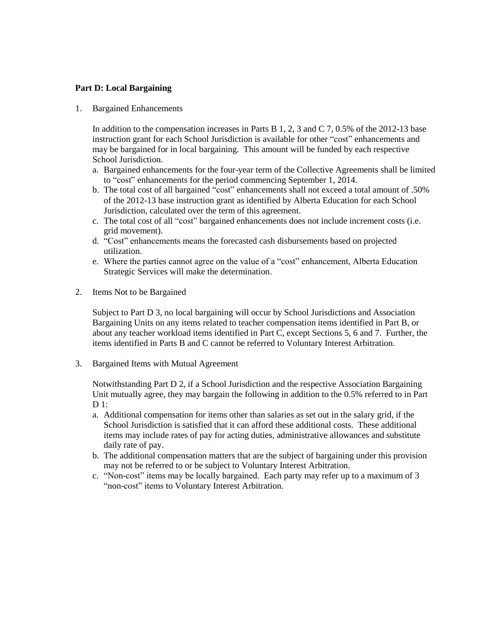#### **Part D: Local Bargaining**

1. Bargained Enhancements

In addition to the compensation increases in Parts B  $1, 2, 3$  and C  $7, 0.5\%$  of the 2012-13 base instruction grant for each School Jurisdiction is available for other "cost" enhancements and may be bargained for in local bargaining. This amount will be funded by each respective School Jurisdiction.

- a. Bargained enhancements for the four-year term of the Collective Agreements shall be limited to "cost" enhancements for the period commencing September 1, 2014.
- b. The total cost of all bargained "cost" enhancements shall not exceed a total amount of .50% of the 2012-13 base instruction grant as identified by Alberta Education for each School Jurisdiction, calculated over the term of this agreement.
- c. The total cost of all "cost" bargained enhancements does not include increment costs (i.e. grid movement).
- d. "Cost" enhancements means the forecasted cash disbursements based on projected utilization.
- e. Where the parties cannot agree on the value of a "cost" enhancement, Alberta Education Strategic Services will make the determination.
- 2. Items Not to be Bargained

Subject to Part D 3, no local bargaining will occur by School Jurisdictions and Association Bargaining Units on any items related to teacher compensation items identified in Part B, or about any teacher workload items identified in Part C, except Sections 5, 6 and 7. Further, the items identified in Parts B and C cannot be referred to Voluntary Interest Arbitration.

3. Bargained Items with Mutual Agreement

Notwithstanding Part D 2, if a School Jurisdiction and the respective Association Bargaining Unit mutually agree, they may bargain the following in addition to the 0.5% referred to in Part  $D_1$ :

- a. Additional compensation for items other than salaries as set out in the salary grid, if the School Jurisdiction is satisfied that it can afford these additional costs. These additional items may include rates of pay for acting duties, administrative allowances and substitute daily rate of pay.
- b. The additional compensation matters that are the subject of bargaining under this provision may not be referred to or be subject to Voluntary Interest Arbitration.
- c. "Non-cost" items may be locally bargained. Each party may refer up to a maximum of 3 "non-cost" items to Voluntary Interest Arbitration.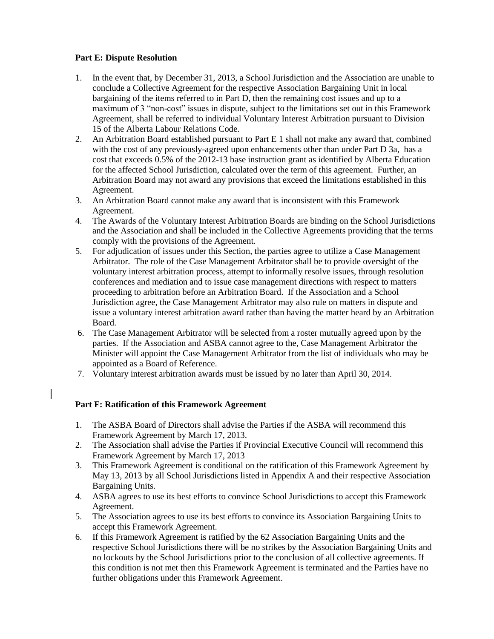### **Part E: Dispute Resolution**

- 1. In the event that, by December 31, 2013, a School Jurisdiction and the Association are unable to conclude a Collective Agreement for the respective Association Bargaining Unit in local bargaining of the items referred to in Part D, then the remaining cost issues and up to a maximum of 3 "non-cost" issues in dispute, subject to the limitations set out in this Framework Agreement, shall be referred to individual Voluntary Interest Arbitration pursuant to Division 15 of the Alberta Labour Relations Code.
- 2. An Arbitration Board established pursuant to Part E 1 shall not make any award that, combined with the cost of any previously-agreed upon enhancements other than under Part D 3a, has a cost that exceeds 0.5% of the 2012-13 base instruction grant as identified by Alberta Education for the affected School Jurisdiction, calculated over the term of this agreement. Further, an Arbitration Board may not award any provisions that exceed the limitations established in this Agreement.
- 3. An Arbitration Board cannot make any award that is inconsistent with this Framework Agreement.
- 4. The Awards of the Voluntary Interest Arbitration Boards are binding on the School Jurisdictions and the Association and shall be included in the Collective Agreements providing that the terms comply with the provisions of the Agreement.
- 5. For adjudication of issues under this Section, the parties agree to utilize a Case Management Arbitrator. The role of the Case Management Arbitrator shall be to provide oversight of the voluntary interest arbitration process, attempt to informally resolve issues, through resolution conferences and mediation and to issue case management directions with respect to matters proceeding to arbitration before an Arbitration Board. If the Association and a School Jurisdiction agree, the Case Management Arbitrator may also rule on matters in dispute and issue a voluntary interest arbitration award rather than having the matter heard by an Arbitration Board.
- 6. The Case Management Arbitrator will be selected from a roster mutually agreed upon by the parties. If the Association and ASBA cannot agree to the, Case Management Arbitrator the Minister will appoint the Case Management Arbitrator from the list of individuals who may be appointed as a Board of Reference.
- 7. Voluntary interest arbitration awards must be issued by no later than April 30, 2014.

#### **Part F: Ratification of this Framework Agreement**

- 1. The ASBA Board of Directors shall advise the Parties if the ASBA will recommend this Framework Agreement by March 17, 2013.
- 2. The Association shall advise the Parties if Provincial Executive Council will recommend this Framework Agreement by March 17, 2013
- 3. This Framework Agreement is conditional on the ratification of this Framework Agreement by May 13, 2013 by all School Jurisdictions listed in Appendix A and their respective Association Bargaining Units.
- 4. ASBA agrees to use its best efforts to convince School Jurisdictions to accept this Framework Agreement.
- 5. The Association agrees to use its best efforts to convince its Association Bargaining Units to accept this Framework Agreement.
- 6. If this Framework Agreement is ratified by the 62 Association Bargaining Units and the respective School Jurisdictions there will be no strikes by the Association Bargaining Units and no lockouts by the School Jurisdictions prior to the conclusion of all collective agreements. If this condition is not met then this Framework Agreement is terminated and the Parties have no further obligations under this Framework Agreement.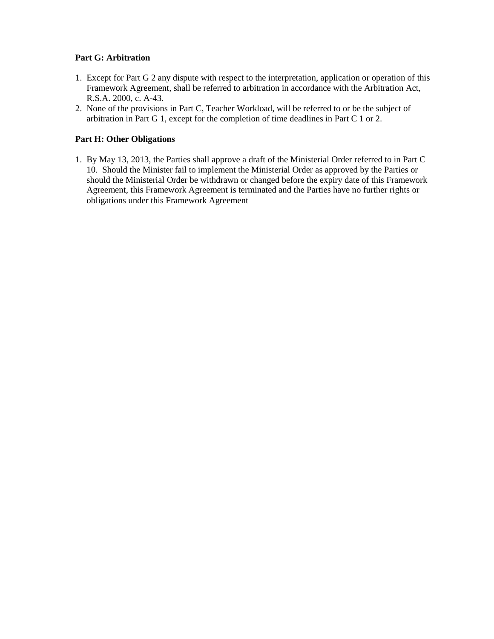## **Part G: Arbitration**

- 1. Except for Part G 2 any dispute with respect to the interpretation, application or operation of this Framework Agreement, shall be referred to arbitration in accordance with the Arbitration Act, R.S.A. 2000, c. A-43.
- 2. None of the provisions in Part C, Teacher Workload, will be referred to or be the subject of arbitration in Part G 1, except for the completion of time deadlines in Part C 1 or 2.

### **Part H: Other Obligations**

1. By May 13, 2013, the Parties shall approve a draft of the Ministerial Order referred to in Part C 10. Should the Minister fail to implement the Ministerial Order as approved by the Parties or should the Ministerial Order be withdrawn or changed before the expiry date of this Framework Agreement, this Framework Agreement is terminated and the Parties have no further rights or obligations under this Framework Agreement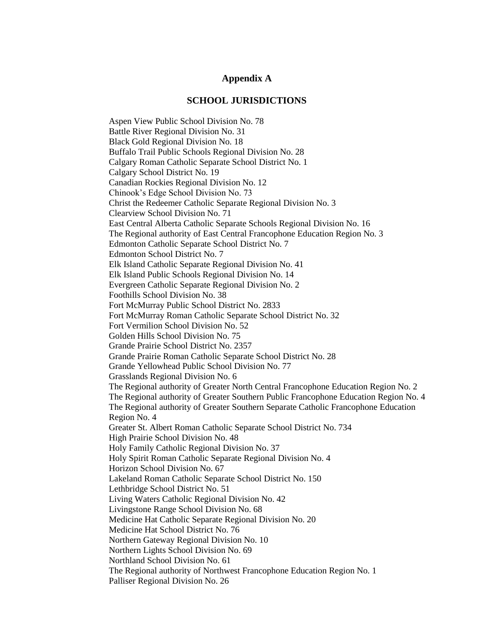#### **Appendix A**

#### **SCHOOL JURISDICTIONS**

Aspen View Public School Division No. 78 Battle River Regional Division No. 31 Black Gold Regional Division No. 18 Buffalo Trail Public Schools Regional Division No. 28 Calgary Roman Catholic Separate School District No. 1 Calgary School District No. 19 Canadian Rockies Regional Division No. 12 Chinook's Edge School Division No. 73 Christ the Redeemer Catholic Separate Regional Division No. 3 Clearview School Division No. 71 East Central Alberta Catholic Separate Schools Regional Division No. 16 The Regional authority of East Central Francophone Education Region No. 3 Edmonton Catholic Separate School District No. 7 Edmonton School District No. 7 Elk Island Catholic Separate Regional Division No. 41 Elk Island Public Schools Regional Division No. 14 Evergreen Catholic Separate Regional Division No. 2 Foothills School Division No. 38 Fort McMurray Public School District No. 2833 Fort McMurray Roman Catholic Separate School District No. 32 Fort Vermilion School Division No. 52 Golden Hills School Division No. 75 Grande Prairie School District No. 2357 Grande Prairie Roman Catholic Separate School District No. 28 Grande Yellowhead Public School Division No. 77 Grasslands Regional Division No. 6 The Regional authority of Greater North Central Francophone Education Region No. 2 The Regional authority of Greater Southern Public Francophone Education Region No. 4 The Regional authority of Greater Southern Separate Catholic Francophone Education Region No. 4 Greater St. Albert Roman Catholic Separate School District No. 734 High Prairie School Division No. 48 Holy Family Catholic Regional Division No. 37 Holy Spirit Roman Catholic Separate Regional Division No. 4 Horizon School Division No. 67 Lakeland Roman Catholic Separate School District No. 150 Lethbridge School District No. 51 Living Waters Catholic Regional Division No. 42 Livingstone Range School Division No. 68 Medicine Hat Catholic Separate Regional Division No. 20 Medicine Hat School District No. 76 Northern Gateway Regional Division No. 10 Northern Lights School Division No. 69 Northland School Division No. 61 The Regional authority of Northwest Francophone Education Region No. 1 Palliser Regional Division No. 26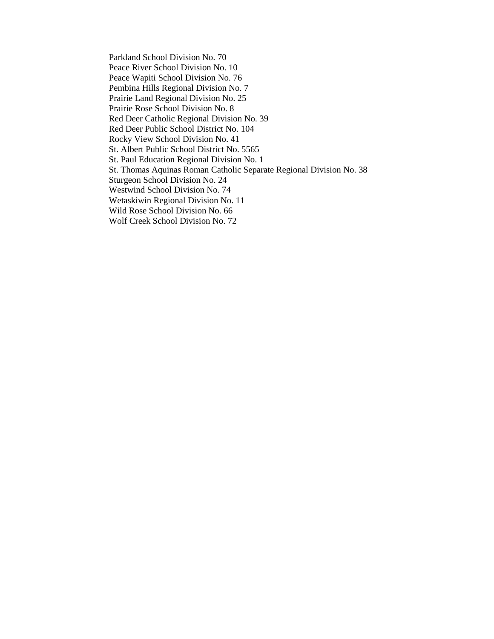Parkland School Division No. 70 Peace River School Division No. 10 Peace Wapiti School Division No. 76 Pembina Hills Regional Division No. 7 Prairie Land Regional Division No. 25 Prairie Rose School Division No. 8 Red Deer Catholic Regional Division No. 39 Red Deer Public School District No. 104 Rocky View School Division No. 41 St. Albert Public School District No. 5565 St. Paul Education Regional Division No. 1 St. Thomas Aquinas Roman Catholic Separate Regional Division No. 38 Sturgeon School Division No. 24 Westwind School Division No. 74 Wetaskiwin Regional Division No. 11 Wild Rose School Division No. 66 Wolf Creek School Division No. 72